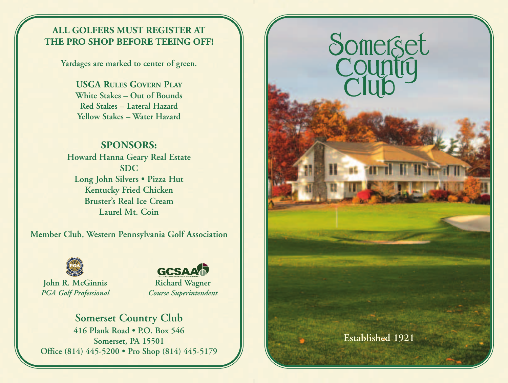## **ALL GOLFERS MUST REGISTER AT THE PRO SHOP BEFORE TEEING OFF!**

**Yardages are marked to center of green.**

**USGA RULES GOVERN PLAY White Stakes – Out of Bounds Red Stakes – Lateral Hazard Yellow Stakes – Water Hazard**

## **SPONSORS:**

**Howard Hanna Geary Real Estate SDC Long John Silvers • Pizza Hut Kentucky Fried Chicken Bruster's Real Ice Cream Laurel Mt. Coin**

**Member Club, Western Pennsylvania Golf Association**



**John R. McGinnis** *PGA Golf Professional*





## **Somerset Country Club**

**416 Plank Road • P.O. Box 546 Somerset, PA 15501 Office (814) 445-5200 • Pro Shop (814) 445-5179**